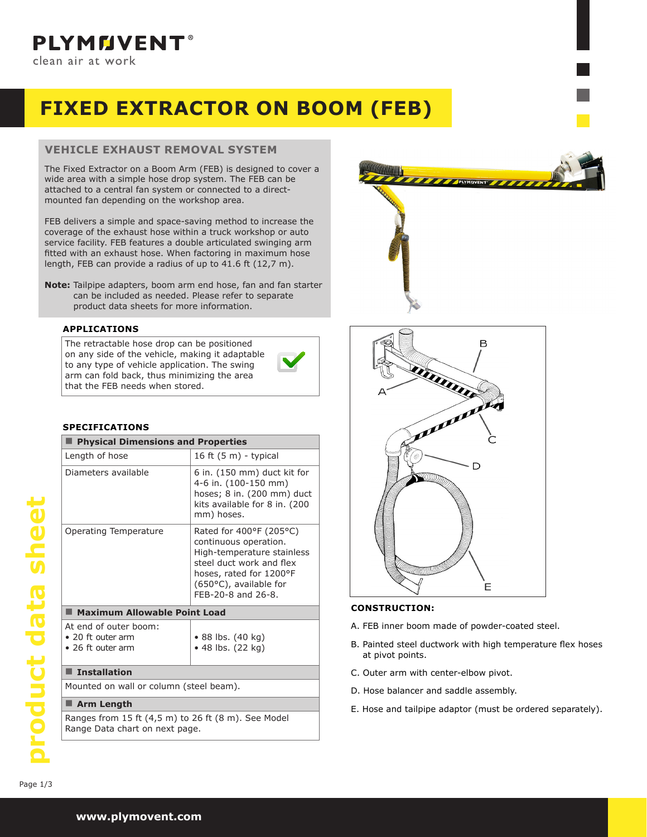

# **FIXED EXTRACTOR ON BOOM (FEB)**

# **VEHICLE EXHAUST REMOVAL SYSTEM**

The Fixed Extractor on a Boom Arm (FEB) is designed to cover a wide area with a simple hose drop system. The FEB can be attached to a central fan system or connected to a directmounted fan depending on the workshop area.

FEB delivers a simple and space-saving method to increase the coverage of the exhaust hose within a truck workshop or auto service facility. FEB features a double articulated swinging arm fitted with an exhaust hose. When factoring in maximum hose length, FEB can provide a radius of up to 41.6 ft (12,7 m).

**Note:** Tailpipe adapters, boom arm end hose, fan and fan starter can be included as needed. Please refer to separate product data sheets for more information.

#### **APPLICATIONS**

The retractable hose drop can be positioned on any side of the vehicle, making it adaptable to any type of vehicle application. The swing arm can fold back, thus minimizing the area that the FEB needs when stored.

#### **SPECIFICATIONS**

| <b>Physical Dimensions and Properties</b>                                             |                                                                                                                                                                                       |  |  |  |
|---------------------------------------------------------------------------------------|---------------------------------------------------------------------------------------------------------------------------------------------------------------------------------------|--|--|--|
| Length of hose                                                                        | 16 ft $(5 m)$ - typical                                                                                                                                                               |  |  |  |
| Diameters available                                                                   | 6 in. (150 mm) duct kit for<br>4-6 in. (100-150 mm)<br>hoses; 8 in. (200 mm) duct<br>kits available for 8 in. (200<br>mm) hoses.                                                      |  |  |  |
| Operating Temperature                                                                 | Rated for 400°F (205°C)<br>continuous operation.<br>High-temperature stainless<br>steel duct work and flex<br>hoses, rated for 1200°F<br>(650°C), available for<br>FEB-20-8 and 26-8. |  |  |  |
| Maximum Allowable Point Load                                                          |                                                                                                                                                                                       |  |  |  |
| At end of outer boom:<br>• 20 ft outer arm<br>• 26 ft outer arm                       | • 88 lbs. (40 kg)<br>$\bullet$ 48 lbs. (22 kg)                                                                                                                                        |  |  |  |
| <b>Installation</b>                                                                   |                                                                                                                                                                                       |  |  |  |
| Mounted on wall or column (steel beam).                                               |                                                                                                                                                                                       |  |  |  |
| <b>Arm Length</b><br>ш                                                                |                                                                                                                                                                                       |  |  |  |
| Ranges from 15 ft (4,5 m) to 26 ft (8 m). See Model<br>Range Data chart on next page. |                                                                                                                                                                                       |  |  |  |





#### **CONSTRUCTION:**

- A. FEB inner boom made of powder-coated steel.
- B. Painted steel ductwork with high temperature flex hoses at pivot points.
- C. Outer arm with center-elbow pivot.
- D. Hose balancer and saddle assembly.
- E. Hose and tailpipe adaptor (must be ordered separately).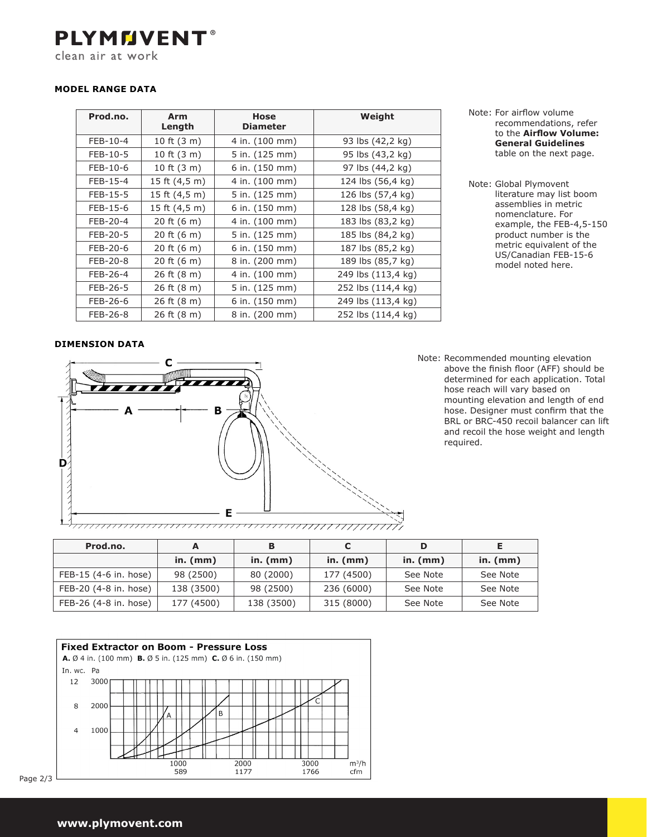**PLYMMVENT®** clean air at work

## **MODEL RANGE DATA**

| Prod.no. | Arm<br>Length   | <b>Hose</b><br><b>Diameter</b> | Weight             |
|----------|-----------------|--------------------------------|--------------------|
| FEB-10-4 | 10 ft $(3 m)$   | 4 in. (100 mm)                 | 93 lbs (42,2 kg)   |
| FEB-10-5 | 10 ft $(3 m)$   | 5 in. (125 mm)                 | 95 lbs (43,2 kg)   |
| FEB-10-6 | 10 ft $(3 m)$   | 6 in. (150 mm)                 | 97 lbs (44,2 kg)   |
| FEB-15-4 | 15 ft (4,5 m)   | 4 in. (100 mm)                 | 124 lbs (56,4 kg)  |
| FEB-15-5 | 15 ft $(4,5 m)$ | 5 in. (125 mm)                 | 126 lbs (57,4 kg)  |
| FEB-15-6 | 15 ft (4,5 m)   | 6 in. (150 mm)                 | 128 lbs (58,4 kg)  |
| FEB-20-4 | 20 ft $(6 m)$   | 4 in. (100 mm)                 | 183 lbs (83,2 kg)  |
| FEB-20-5 | 20 ft $(6 m)$   | 5 in. (125 mm)                 | 185 lbs (84,2 kg)  |
| FEB-20-6 | 20 ft $(6 m)$   | 6 in. (150 mm)                 | 187 lbs (85,2 kg)  |
| FEB-20-8 | 20 ft $(6 m)$   | 8 in. (200 mm)                 | 189 lbs (85,7 kg)  |
| FEB-26-4 | 26 ft $(8 m)$   | 4 in. (100 mm)                 | 249 lbs (113,4 kg) |
| FEB-26-5 | 26 ft $(8 m)$   | 5 in. (125 mm)                 | 252 lbs (114,4 kg) |
| FEB-26-6 | 26 ft (8 m)     | 6 in. (150 mm)                 | 249 lbs (113,4 kg) |
| FEB-26-8 | 26 ft $(8 m)$   | 8 in. (200 mm)                 | 252 lbs (114,4 kg) |

- Note: For airflow volume recommendations, refer to the **Airflow Volume: General Guidelines** table on the next page.
- Note: Global Plymovent literature may list boom assemblies in metric nomenclature. For example, the FEB-4,5-150 product number is the metric equivalent of the US/Canadian FEB-15-6 model noted here.

#### **DIMENSION DATA**



Note: Recommended mounting elevation above the finish floor (AFF) should be determined for each application. Total hose reach will vary based on mounting elevation and length of end hose. Designer must confirm that the BRL or BRC-450 recoil balancer can lift and recoil the hose weight and length required.

| in. $(mm)$ | in. $(mm)$ | in. $(mm)$ | in. $(mm)$ | in. (n |
|------------|------------|------------|------------|--------|
| 98 (2500)  | 80 (2000)  | 177 (4500) | See Note   | See N  |
|            |            |            |            |        |

|                       | in. $(mm)$ | in. $(mm)$ | in. $(mm)$ | in. $(mm)$ | in. $(mm)$ |
|-----------------------|------------|------------|------------|------------|------------|
| FEB-15 (4-6 in. hose) | 98 (2500)  | 80 (2000)  | 177 (4500) | See Note   | See Note   |
| FEB-20 (4-8 in. hose) | 138 (3500) | 98 (2500)  | 236 (6000) | See Note   | See Note   |
| FEB-26 (4-8 in. hose) | 177 (4500) | 138 (3500) | 315 (8000) | See Note   | See Note   |
|                       |            |            |            |            |            |